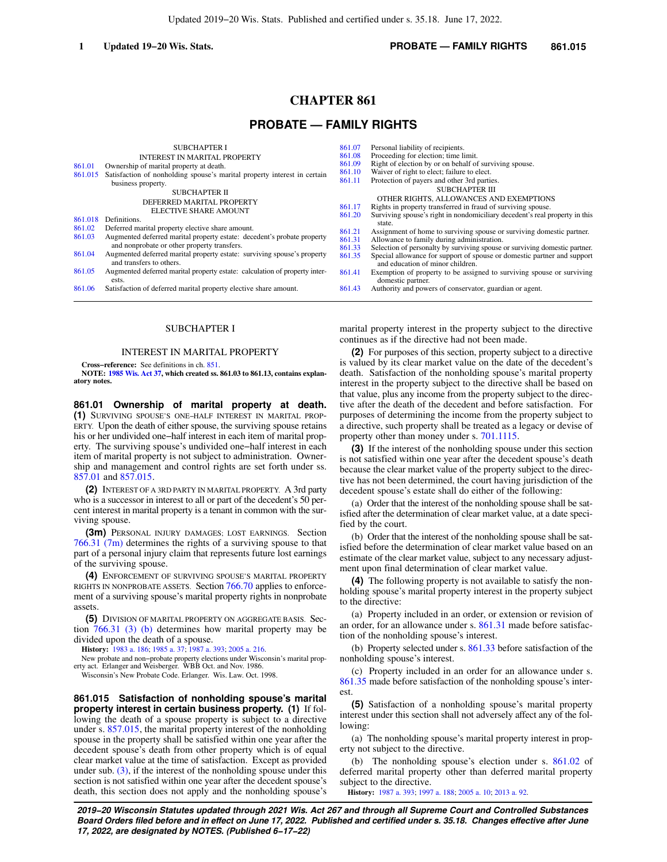Updated 2019−20 Wis. Stats. Published and certified under s. 35.18. June 17, 2022.

# **CHAPTER 861**

# **PROBATE — FAMILY RIGHTS**

| 861.01<br>861.015<br>861.018<br>861.02 | <b>SUBCHAPTER I</b><br><b>INTEREST IN MARITAL PROPERTY</b><br>Ownership of marital property at death.<br>Satisfaction of nonholding spouse's marital property interest in certain<br>business property.<br>SUBCHAPTER II<br>DEFERRED MARITAL PROPERTY<br>ELECTIVE SHARE AMOUNT<br>Definitions.<br>Deferred marital property elective share amount. | 861.07<br>861.08<br>861.09<br>861.10<br>861.11<br>861.17<br>861.20 | Personal liability of recipients.<br>Proceeding for election; time limit.<br>Right of election by or on behalf of surviving spouse.<br>Waiver of right to elect; failure to elect.<br>Protection of payers and other 3rd parties.<br><b>SUBCHAPTER III</b><br>OTHER RIGHTS, ALLOWANCES AND EXEMPTIONS<br>Rights in property transferred in fraud of surviving spouse.<br>Surviving spouse's right in nondomiciliary decedent's real property in this<br>state. |
|----------------------------------------|----------------------------------------------------------------------------------------------------------------------------------------------------------------------------------------------------------------------------------------------------------------------------------------------------------------------------------------------------|--------------------------------------------------------------------|----------------------------------------------------------------------------------------------------------------------------------------------------------------------------------------------------------------------------------------------------------------------------------------------------------------------------------------------------------------------------------------------------------------------------------------------------------------|
| 861.03                                 | Augmented deferred marital property estate: decedent's probate property                                                                                                                                                                                                                                                                            | 861.21<br>861.31                                                   | Assignment of home to surviving spouse or surviving domestic partner.<br>Allowance to family during administration.                                                                                                                                                                                                                                                                                                                                            |
|                                        | and nonprobate or other property transfers.                                                                                                                                                                                                                                                                                                        | 861.33                                                             | Selection of personalty by surviving spouse or surviving domestic partner.                                                                                                                                                                                                                                                                                                                                                                                     |
| 861.04                                 | Augmented deferred marital property estate: surviving spouse's property<br>and transfers to others.                                                                                                                                                                                                                                                | 861.35                                                             | Special allowance for support of spouse or domestic partner and support<br>and education of minor children.                                                                                                                                                                                                                                                                                                                                                    |
| 861.05                                 | Augmented deferred marital property estate: calculation of property inter-<br>ests.                                                                                                                                                                                                                                                                | 861.41                                                             | Exemption of property to be assigned to surviving spouse or surviving<br>domestic partner.                                                                                                                                                                                                                                                                                                                                                                     |
| 861.06                                 | Satisfaction of deferred marital property elective share amount.                                                                                                                                                                                                                                                                                   | 861.43                                                             | Authority and powers of conservator, guardian or agent.                                                                                                                                                                                                                                                                                                                                                                                                        |
|                                        |                                                                                                                                                                                                                                                                                                                                                    |                                                                    |                                                                                                                                                                                                                                                                                                                                                                                                                                                                |

# SUBCHAPTER I

#### INTEREST IN MARITAL PROPERTY

**Cross−reference:** See definitions in ch. [851.](https://docs.legis.wisconsin.gov/document/statutes/ch.%20851)

**NOTE: [1985 Wis. Act 37](https://docs.legis.wisconsin.gov/document/acts/1985/37), which created ss. 861.03 to 861.13, contains explanatory notes.**

**861.01 Ownership of marital property at death. (1)** SURVIVING SPOUSE'S ONE−HALF INTEREST IN MARITAL PROP-ERTY. Upon the death of either spouse, the surviving spouse retains his or her undivided one−half interest in each item of marital property. The surviving spouse's undivided one−half interest in each item of marital property is not subject to administration. Ownership and management and control rights are set forth under ss. [857.01](https://docs.legis.wisconsin.gov/document/statutes/857.01) and [857.015.](https://docs.legis.wisconsin.gov/document/statutes/857.015)

**(2)** INTEREST OF A 3RD PARTY IN MARITAL PROPERTY. A 3rd party who is a successor in interest to all or part of the decedent's 50 percent interest in marital property is a tenant in common with the surviving spouse.

**(3m)** PERSONAL INJURY DAMAGES; LOST EARNINGS. Section [766.31 \(7m\)](https://docs.legis.wisconsin.gov/document/statutes/766.31(7m)) determines the rights of a surviving spouse to that part of a personal injury claim that represents future lost earnings of the surviving spouse.

**(4)** ENFORCEMENT OF SURVIVING SPOUSE'S MARITAL PROPERTY RIGHTS IN NONPROBATE ASSETS. Section [766.70](https://docs.legis.wisconsin.gov/document/statutes/766.70) applies to enforcement of a surviving spouse's marital property rights in nonprobate assets.

**(5)** DIVISION OF MARITAL PROPERTY ON AGGREGATE BASIS. Section [766.31 \(3\) \(b\)](https://docs.legis.wisconsin.gov/document/statutes/766.31(3)(b)) determines how marital property may be divided upon the death of a spouse.

**History:** [1983 a. 186](https://docs.legis.wisconsin.gov/document/acts/1983/186); [1985 a. 37;](https://docs.legis.wisconsin.gov/document/acts/1985/37) [1987 a. 393](https://docs.legis.wisconsin.gov/document/acts/1987/393); [2005 a. 216.](https://docs.legis.wisconsin.gov/document/acts/2005/216)

New probate and non−probate property elections under Wisconsin's marital prop-erty act. Erlanger and Weisberger. WBB Oct. and Nov. 1986.

Wisconsin's New Probate Code. Erlanger. Wis. Law. Oct. 1998.

**861.015 Satisfaction of nonholding spouse's marital property interest in certain business property. (1)** If following the death of a spouse property is subject to a directive under s. [857.015](https://docs.legis.wisconsin.gov/document/statutes/857.015), the marital property interest of the nonholding spouse in the property shall be satisfied within one year after the decedent spouse's death from other property which is of equal clear market value at the time of satisfaction. Except as provided under sub.  $(3)$ , if the interest of the nonholding spouse under this section is not satisfied within one year after the decedent spouse's death, this section does not apply and the nonholding spouse's marital property interest in the property subject to the directive continues as if the directive had not been made.

**(2)** For purposes of this section, property subject to a directive is valued by its clear market value on the date of the decedent's death. Satisfaction of the nonholding spouse's marital property interest in the property subject to the directive shall be based on that value, plus any income from the property subject to the directive after the death of the decedent and before satisfaction. For purposes of determining the income from the property subject to a directive, such property shall be treated as a legacy or devise of property other than money under s. [701.1115.](https://docs.legis.wisconsin.gov/document/statutes/701.1115)

**(3)** If the interest of the nonholding spouse under this section is not satisfied within one year after the decedent spouse's death because the clear market value of the property subject to the directive has not been determined, the court having jurisdiction of the decedent spouse's estate shall do either of the following:

(a) Order that the interest of the nonholding spouse shall be satisfied after the determination of clear market value, at a date specified by the court.

(b) Order that the interest of the nonholding spouse shall be satisfied before the determination of clear market value based on an estimate of the clear market value, subject to any necessary adjustment upon final determination of clear market value.

**(4)** The following property is not available to satisfy the nonholding spouse's marital property interest in the property subject to the directive:

(a) Property included in an order, or extension or revision of an order, for an allowance under s. [861.31](https://docs.legis.wisconsin.gov/document/statutes/861.31) made before satisfaction of the nonholding spouse's interest.

(b) Property selected under s. [861.33](https://docs.legis.wisconsin.gov/document/statutes/861.33) before satisfaction of the nonholding spouse's interest.

(c) Property included in an order for an allowance under s. [861.35](https://docs.legis.wisconsin.gov/document/statutes/861.35) made before satisfaction of the nonholding spouse's interest.

**(5)** Satisfaction of a nonholding spouse's marital property interest under this section shall not adversely affect any of the following:

(a) The nonholding spouse's marital property interest in property not subject to the directive.

(b) The nonholding spouse's election under s. [861.02](https://docs.legis.wisconsin.gov/document/statutes/861.02) of deferred marital property other than deferred marital property subject to the directive.

**History:** [1987 a. 393;](https://docs.legis.wisconsin.gov/document/acts/1987/393) [1997 a. 188](https://docs.legis.wisconsin.gov/document/acts/1997/188); [2005 a. 10](https://docs.legis.wisconsin.gov/document/acts/2005/10); [2013 a. 92.](https://docs.legis.wisconsin.gov/document/acts/2013/92)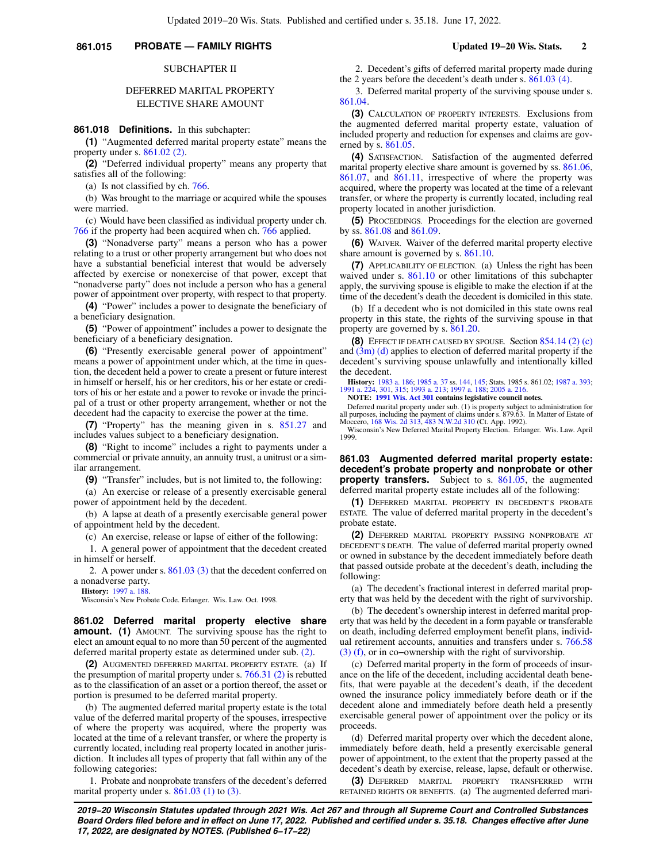# **861.015 PROBATE — FAMILY RIGHTS Updated 19−20 Wis. Stats. 2**

### SUBCHAPTER II

# DEFERRED MARITAL PROPERTY ELECTIVE SHARE AMOUNT

**861.018 Definitions.** In this subchapter:

**(1)** "Augmented deferred marital property estate" means the property under s. [861.02 \(2\)](https://docs.legis.wisconsin.gov/document/statutes/861.02(2)).

**(2)** "Deferred individual property" means any property that satisfies all of the following:

(a) Is not classified by ch. [766](https://docs.legis.wisconsin.gov/document/statutes/ch.%20766).

(b) Was brought to the marriage or acquired while the spouses were married.

(c) Would have been classified as individual property under ch. [766](https://docs.legis.wisconsin.gov/document/statutes/ch.%20766) if the property had been acquired when ch. [766](https://docs.legis.wisconsin.gov/document/statutes/ch.%20766) applied.

**(3)** "Nonadverse party" means a person who has a power relating to a trust or other property arrangement but who does not have a substantial beneficial interest that would be adversely affected by exercise or nonexercise of that power, except that "nonadverse party" does not include a person who has a general power of appointment over property, with respect to that property.

**(4)** "Power" includes a power to designate the beneficiary of a beneficiary designation.

**(5)** "Power of appointment" includes a power to designate the beneficiary of a beneficiary designation.

**(6)** "Presently exercisable general power of appointment" means a power of appointment under which, at the time in question, the decedent held a power to create a present or future interest in himself or herself, his or her creditors, his or her estate or creditors of his or her estate and a power to revoke or invade the principal of a trust or other property arrangement, whether or not the decedent had the capacity to exercise the power at the time.

**(7)** "Property" has the meaning given in s. [851.27](https://docs.legis.wisconsin.gov/document/statutes/851.27) and includes values subject to a beneficiary designation.

**(8)** "Right to income" includes a right to payments under a commercial or private annuity, an annuity trust, a unitrust or a similar arrangement.

**(9)** "Transfer" includes, but is not limited to, the following:

(a) An exercise or release of a presently exercisable general power of appointment held by the decedent.

(b) A lapse at death of a presently exercisable general power of appointment held by the decedent.

(c) An exercise, release or lapse of either of the following:

1. A general power of appointment that the decedent created in himself or herself.

2. A power under s. [861.03 \(3\)](https://docs.legis.wisconsin.gov/document/statutes/861.03(3)) that the decedent conferred on a nonadverse party.

**History:** [1997 a. 188](https://docs.legis.wisconsin.gov/document/acts/1997/188).

Wisconsin's New Probate Code. Erlanger. Wis. Law. Oct. 1998.

**861.02 Deferred marital property elective share amount.** (1) AMOUNT. The surviving spouse has the right to elect an amount equal to no more than 50 percent of the augmented deferred marital property estate as determined under sub. [\(2\)](https://docs.legis.wisconsin.gov/document/statutes/861.02(2)).

**(2)** AUGMENTED DEFERRED MARITAL PROPERTY ESTATE. (a) If the presumption of marital property under s. [766.31 \(2\)](https://docs.legis.wisconsin.gov/document/statutes/766.31(2)) is rebutted as to the classification of an asset or a portion thereof, the asset or portion is presumed to be deferred marital property.

(b) The augmented deferred marital property estate is the total value of the deferred marital property of the spouses, irrespective of where the property was acquired, where the property was located at the time of a relevant transfer, or where the property is currently located, including real property located in another jurisdiction. It includes all types of property that fall within any of the following categories:

1. Probate and nonprobate transfers of the decedent's deferred marital property under s.  $861.03$  (1) to [\(3\)](https://docs.legis.wisconsin.gov/document/statutes/861.03(3)).

2. Decedent's gifts of deferred marital property made during the 2 years before the decedent's death under s. [861.03 \(4\)](https://docs.legis.wisconsin.gov/document/statutes/861.03(4)).

3. Deferred marital property of the surviving spouse under s. [861.04.](https://docs.legis.wisconsin.gov/document/statutes/861.04)

**(3)** CALCULATION OF PROPERTY INTERESTS. Exclusions from the augmented deferred marital property estate, valuation of included property and reduction for expenses and claims are governed by s. [861.05.](https://docs.legis.wisconsin.gov/document/statutes/861.05)

**(4)** SATISFACTION. Satisfaction of the augmented deferred marital property elective share amount is governed by ss. [861.06,](https://docs.legis.wisconsin.gov/document/statutes/861.06) [861.07,](https://docs.legis.wisconsin.gov/document/statutes/861.07) and [861.11](https://docs.legis.wisconsin.gov/document/statutes/861.11), irrespective of where the property was acquired, where the property was located at the time of a relevant transfer, or where the property is currently located, including real property located in another jurisdiction.

**(5)** PROCEEDINGS. Proceedings for the election are governed by ss. [861.08](https://docs.legis.wisconsin.gov/document/statutes/861.08) and [861.09](https://docs.legis.wisconsin.gov/document/statutes/861.09).

**(6)** WAIVER. Waiver of the deferred marital property elective share amount is governed by s. [861.10](https://docs.legis.wisconsin.gov/document/statutes/861.10).

**(7)** APPLICABILITY OF ELECTION. (a) Unless the right has been waived under s. [861.10](https://docs.legis.wisconsin.gov/document/statutes/861.10) or other limitations of this subchapter apply, the surviving spouse is eligible to make the election if at the time of the decedent's death the decedent is domiciled in this state.

(b) If a decedent who is not domiciled in this state owns real property in this state, the rights of the surviving spouse in that property are governed by s. [861.20.](https://docs.legis.wisconsin.gov/document/statutes/861.20)

**(8)** EFFECT IF DEATH CAUSED BY SPOUSE. Section [854.14 \(2\) \(c\)](https://docs.legis.wisconsin.gov/document/statutes/854.14(2)(c)) and [\(3m\) \(d\)](https://docs.legis.wisconsin.gov/document/statutes/854.14(3m)(d)) applies to election of deferred marital property if the decedent's surviving spouse unlawfully and intentionally killed the decedent.

**History:** [1983 a. 186](https://docs.legis.wisconsin.gov/document/acts/1983/186); [1985 a. 37](https://docs.legis.wisconsin.gov/document/acts/1985/37) ss. [144,](https://docs.legis.wisconsin.gov/document/acts/1985/37,%20s.%20144) [145;](https://docs.legis.wisconsin.gov/document/acts/1985/37,%20s.%20145) Stats. 1985 s. 861.02; [1987 a. 393](https://docs.legis.wisconsin.gov/document/acts/1987/393); [1991 a. 224,](https://docs.legis.wisconsin.gov/document/acts/1991/224) [301](https://docs.legis.wisconsin.gov/document/acts/1991/301), [315](https://docs.legis.wisconsin.gov/document/acts/1991/315); [1993 a. 213;](https://docs.legis.wisconsin.gov/document/acts/1993/213) [1997 a. 188](https://docs.legis.wisconsin.gov/document/acts/1997/188); [2005 a. 216](https://docs.legis.wisconsin.gov/document/acts/2005/216).

**NOTE: [1991 Wis. Act 301](https://docs.legis.wisconsin.gov/document/acts/1991/301) contains legislative council notes.**

Deferred marital property under sub. (1) is property subject to administration for all purposes, including the payment of claims under s. 879.63. In Matter of Estate of Moccero, [168 Wis. 2d 313](https://docs.legis.wisconsin.gov/document/courts/168%20Wis.%202d%20313), [483 N.W.2d 310](https://docs.legis.wisconsin.gov/document/courts/483%20N.W.2d%20310) (Ct. App. 1992).

Wisconsin's New Deferred Marital Property Election. Erlanger. Wis. Law. April 1999.

**861.03 Augmented deferred marital property estate: decedent's probate property and nonprobate or other property transfers.** Subject to s. [861.05](https://docs.legis.wisconsin.gov/document/statutes/861.05), the augmented deferred marital property estate includes all of the following:

**(1)** DEFERRED MARITAL PROPERTY IN DECEDENT'S PROBATE ESTATE. The value of deferred marital property in the decedent's probate estate.

**(2)** DEFERRED MARITAL PROPERTY PASSING NONPROBATE AT DECEDENT'S DEATH. The value of deferred marital property owned or owned in substance by the decedent immediately before death that passed outside probate at the decedent's death, including the following:

(a) The decedent's fractional interest in deferred marital property that was held by the decedent with the right of survivorship.

(b) The decedent's ownership interest in deferred marital property that was held by the decedent in a form payable or transferable on death, including deferred employment benefit plans, individual retirement accounts, annuities and transfers under s. [766.58](https://docs.legis.wisconsin.gov/document/statutes/766.58(3)(f)) [\(3\) \(f\),](https://docs.legis.wisconsin.gov/document/statutes/766.58(3)(f)) or in co−ownership with the right of survivorship.

(c) Deferred marital property in the form of proceeds of insurance on the life of the decedent, including accidental death benefits, that were payable at the decedent's death, if the decedent owned the insurance policy immediately before death or if the decedent alone and immediately before death held a presently exercisable general power of appointment over the policy or its proceeds.

(d) Deferred marital property over which the decedent alone, immediately before death, held a presently exercisable general power of appointment, to the extent that the property passed at the decedent's death by exercise, release, lapse, default or otherwise.

**(3)** DEFERRED MARITAL PROPERTY TRANSFERRED WITH RETAINED RIGHTS OR BENEFITS. (a) The augmented deferred mari-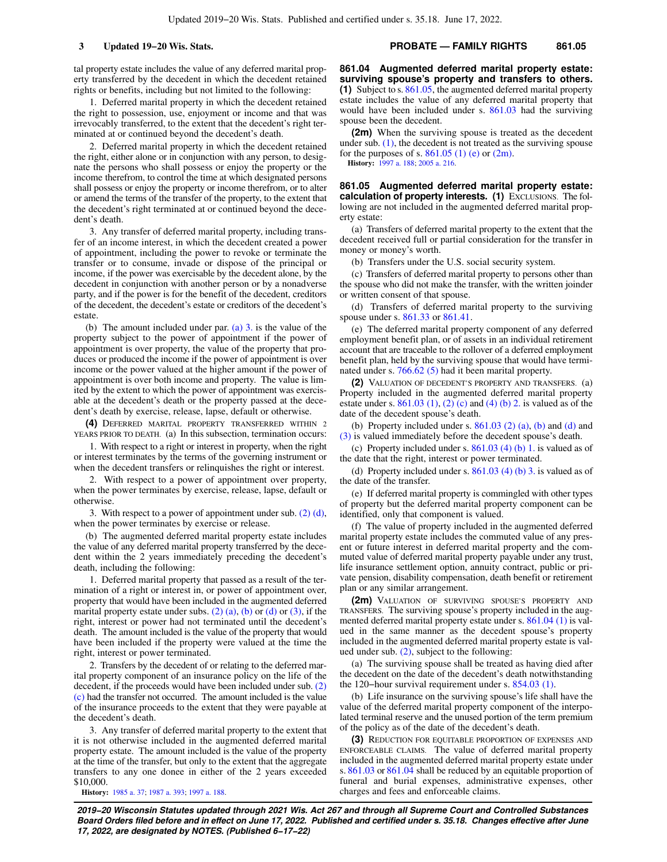tal property estate includes the value of any deferred marital property transferred by the decedent in which the decedent retained rights or benefits, including but not limited to the following:

1. Deferred marital property in which the decedent retained the right to possession, use, enjoyment or income and that was irrevocably transferred, to the extent that the decedent's right terminated at or continued beyond the decedent's death.

2. Deferred marital property in which the decedent retained the right, either alone or in conjunction with any person, to designate the persons who shall possess or enjoy the property or the income therefrom, to control the time at which designated persons shall possess or enjoy the property or income therefrom, or to alter or amend the terms of the transfer of the property, to the extent that the decedent's right terminated at or continued beyond the decedent's death.

3. Any transfer of deferred marital property, including transfer of an income interest, in which the decedent created a power of appointment, including the power to revoke or terminate the transfer or to consume, invade or dispose of the principal or income, if the power was exercisable by the decedent alone, by the decedent in conjunction with another person or by a nonadverse party, and if the power is for the benefit of the decedent, creditors of the decedent, the decedent's estate or creditors of the decedent's estate.

(b) The amount included under par. [\(a\) 3.](https://docs.legis.wisconsin.gov/document/statutes/861.03(3)(a)3.) is the value of the property subject to the power of appointment if the power of appointment is over property, the value of the property that produces or produced the income if the power of appointment is over income or the power valued at the higher amount if the power of appointment is over both income and property. The value is limited by the extent to which the power of appointment was exercisable at the decedent's death or the property passed at the decedent's death by exercise, release, lapse, default or otherwise.

**(4)** DEFERRED MARITAL PROPERTY TRANSFERRED WITHIN 2 YEARS PRIOR TO DEATH. (a) In this subsection, termination occurs:

1. With respect to a right or interest in property, when the right or interest terminates by the terms of the governing instrument or when the decedent transfers or relinquishes the right or interest.

2. With respect to a power of appointment over property, when the power terminates by exercise, release, lapse, default or otherwise.

3. With respect to a power of appointment under sub. [\(2\) \(d\),](https://docs.legis.wisconsin.gov/document/statutes/861.03(2)(d)) when the power terminates by exercise or release.

(b) The augmented deferred marital property estate includes the value of any deferred marital property transferred by the decedent within the 2 years immediately preceding the decedent's death, including the following:

1. Deferred marital property that passed as a result of the termination of a right or interest in, or power of appointment over, property that would have been included in the augmented deferred marital property estate under subs.  $(2)$   $(a)$ ,  $(b)$  or  $(d)$  or  $(3)$ , if the right, interest or power had not terminated until the decedent's death. The amount included is the value of the property that would have been included if the property were valued at the time the right, interest or power terminated.

2. Transfers by the decedent of or relating to the deferred marital property component of an insurance policy on the life of the decedent, if the proceeds would have been included under sub. [\(2\)](https://docs.legis.wisconsin.gov/document/statutes/861.03(2)(c)) [\(c\)](https://docs.legis.wisconsin.gov/document/statutes/861.03(2)(c)) had the transfer not occurred. The amount included is the value of the insurance proceeds to the extent that they were payable at the decedent's death.

3. Any transfer of deferred marital property to the extent that it is not otherwise included in the augmented deferred marital property estate. The amount included is the value of the property at the time of the transfer, but only to the extent that the aggregate transfers to any one donee in either of the 2 years exceeded \$10,000.

**History:** [1985 a. 37;](https://docs.legis.wisconsin.gov/document/acts/1985/37) [1987 a. 393;](https://docs.legis.wisconsin.gov/document/acts/1987/393) [1997 a. 188](https://docs.legis.wisconsin.gov/document/acts/1997/188).

**861.04 Augmented deferred marital property estate: surviving spouse's property and transfers to others. (1)** Subject to s. [861.05](https://docs.legis.wisconsin.gov/document/statutes/861.05), the augmented deferred marital property estate includes the value of any deferred marital property that would have been included under s. [861.03](https://docs.legis.wisconsin.gov/document/statutes/861.03) had the surviving spouse been the decedent.

**(2m)** When the surviving spouse is treated as the decedent under sub.  $(1)$ , the decedent is not treated as the surviving spouse for the purposes of s.  $861.05$  (1) (e) or [\(2m\)](https://docs.legis.wisconsin.gov/document/statutes/861.05(2m)). **History:** [1997 a. 188;](https://docs.legis.wisconsin.gov/document/acts/1997/188) [2005 a. 216](https://docs.legis.wisconsin.gov/document/acts/2005/216).

**861.05 Augmented deferred marital property estate: calculation of property interests. (1)** EXCLUSIONS. The following are not included in the augmented deferred marital property estate:

(a) Transfers of deferred marital property to the extent that the decedent received full or partial consideration for the transfer in money or money's worth.

(b) Transfers under the U.S. social security system.

(c) Transfers of deferred marital property to persons other than the spouse who did not make the transfer, with the written joinder or written consent of that spouse.

(d) Transfers of deferred marital property to the surviving spouse under s. [861.33](https://docs.legis.wisconsin.gov/document/statutes/861.33) or [861.41.](https://docs.legis.wisconsin.gov/document/statutes/861.41)

(e) The deferred marital property component of any deferred employment benefit plan, or of assets in an individual retirement account that are traceable to the rollover of a deferred employment benefit plan, held by the surviving spouse that would have terminated under s. [766.62 \(5\)](https://docs.legis.wisconsin.gov/document/statutes/766.62(5)) had it been marital property.

**(2)** VALUATION OF DECEDENT'S PROPERTY AND TRANSFERS. (a) Property included in the augmented deferred marital property estate under s.  $861.03$  (1), [\(2\) \(c\)](https://docs.legis.wisconsin.gov/document/statutes/861.03(2)(c)) and [\(4\) \(b\) 2.](https://docs.legis.wisconsin.gov/document/statutes/861.03(4)(b)2.) is valued as of the date of the decedent spouse's death.

(b) Property included under s.  $861.03$  (2) (a), [\(b\)](https://docs.legis.wisconsin.gov/document/statutes/861.03(2)(b)) and [\(d\)](https://docs.legis.wisconsin.gov/document/statutes/861.03(2)(d)) and [\(3\)](https://docs.legis.wisconsin.gov/document/statutes/861.03(3)) is valued immediately before the decedent spouse's death.

(c) Property included under s. [861.03 \(4\) \(b\) 1.](https://docs.legis.wisconsin.gov/document/statutes/861.03(4)(b)1.) is valued as of the date that the right, interest or power terminated.

(d) Property included under s.  $861.03$  (4) (b) 3. is valued as of the date of the transfer.

(e) If deferred marital property is commingled with other types of property but the deferred marital property component can be identified, only that component is valued.

(f) The value of property included in the augmented deferred marital property estate includes the commuted value of any present or future interest in deferred marital property and the commuted value of deferred marital property payable under any trust, life insurance settlement option, annuity contract, public or private pension, disability compensation, death benefit or retirement plan or any similar arrangement.

**(2m)** VALUATION OF SURVIVING SPOUSE'S PROPERTY AND TRANSFERS. The surviving spouse's property included in the augmented deferred marital property estate under s. [861.04 \(1\)](https://docs.legis.wisconsin.gov/document/statutes/861.04(1)) is valued in the same manner as the decedent spouse's property included in the augmented deferred marital property estate is valued under sub. [\(2\),](https://docs.legis.wisconsin.gov/document/statutes/861.05(2)) subject to the following:

(a) The surviving spouse shall be treated as having died after the decedent on the date of the decedent's death notwithstanding the 120−hour survival requirement under s. [854.03 \(1\)](https://docs.legis.wisconsin.gov/document/statutes/854.03(1)).

(b) Life insurance on the surviving spouse's life shall have the value of the deferred marital property component of the interpolated terminal reserve and the unused portion of the term premium of the policy as of the date of the decedent's death.

**(3)** REDUCTION FOR EQUITABLE PROPORTION OF EXPENSES AND ENFORCEABLE CLAIMS. The value of deferred marital property included in the augmented deferred marital property estate under s. [861.03](https://docs.legis.wisconsin.gov/document/statutes/861.03) or [861.04](https://docs.legis.wisconsin.gov/document/statutes/861.04) shall be reduced by an equitable proportion of funeral and burial expenses, administrative expenses, other charges and fees and enforceable claims.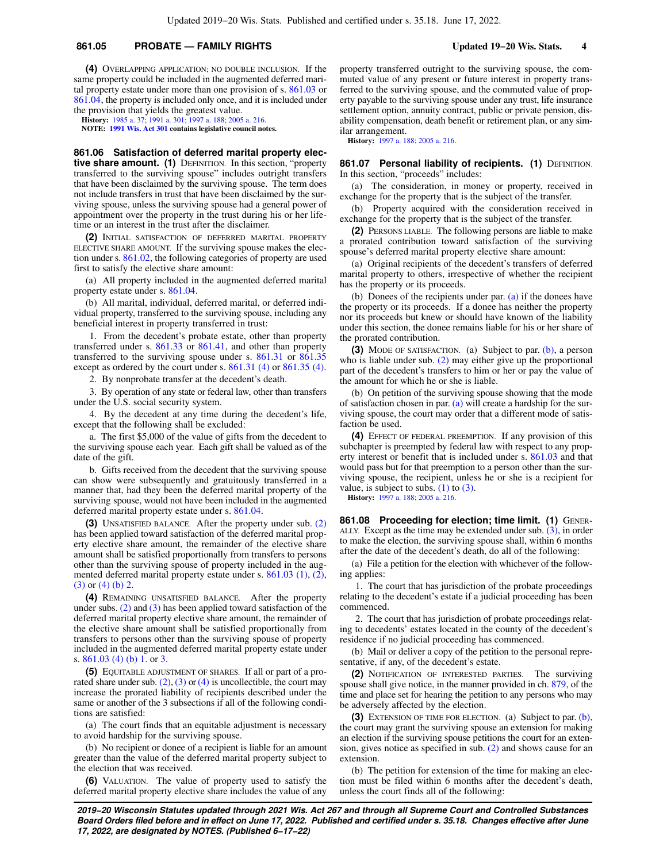## **861.05 PROBATE — FAMILY RIGHTS Updated 19−20 Wis. Stats. 4**

**(4)** OVERLAPPING APPLICATION; NO DOUBLE INCLUSION. If the same property could be included in the augmented deferred marital property estate under more than one provision of s. [861.03](https://docs.legis.wisconsin.gov/document/statutes/861.03) or [861.04,](https://docs.legis.wisconsin.gov/document/statutes/861.04) the property is included only once, and it is included under the provision that yields the greatest value.

**History:** [1985 a. 37;](https://docs.legis.wisconsin.gov/document/acts/1985/37) [1991 a. 301;](https://docs.legis.wisconsin.gov/document/acts/1991/301) [1997 a. 188](https://docs.legis.wisconsin.gov/document/acts/1997/188); [2005 a. 216.](https://docs.legis.wisconsin.gov/document/acts/2005/216) **NOTE: [1991 Wis. Act 301](https://docs.legis.wisconsin.gov/document/acts/1991/301) contains legislative council notes.**

**861.06 Satisfaction of deferred marital property elective share amount.** (1) DEFINITION. In this section, "property transferred to the surviving spouse" includes outright transfers that have been disclaimed by the surviving spouse. The term does not include transfers in trust that have been disclaimed by the surviving spouse, unless the surviving spouse had a general power of appointment over the property in the trust during his or her lifetime or an interest in the trust after the disclaimer.

**(2)** INITIAL SATISFACTION OF DEFERRED MARITAL PROPERTY ELECTIVE SHARE AMOUNT. If the surviving spouse makes the election under s. [861.02,](https://docs.legis.wisconsin.gov/document/statutes/861.02) the following categories of property are used first to satisfy the elective share amount:

(a) All property included in the augmented deferred marital property estate under s. [861.04](https://docs.legis.wisconsin.gov/document/statutes/861.04).

(b) All marital, individual, deferred marital, or deferred individual property, transferred to the surviving spouse, including any beneficial interest in property transferred in trust:

1. From the decedent's probate estate, other than property transferred under s. [861.33](https://docs.legis.wisconsin.gov/document/statutes/861.33) or [861.41,](https://docs.legis.wisconsin.gov/document/statutes/861.41) and other than property transferred to the surviving spouse under s. [861.31](https://docs.legis.wisconsin.gov/document/statutes/861.31) or [861.35](https://docs.legis.wisconsin.gov/document/statutes/861.35) except as ordered by the court under s. [861.31 \(4\)](https://docs.legis.wisconsin.gov/document/statutes/861.31(4)) or [861.35 \(4\)](https://docs.legis.wisconsin.gov/document/statutes/861.35(4)).

2. By nonprobate transfer at the decedent's death.

3. By operation of any state or federal law, other than transfers under the U.S. social security system.

4. By the decedent at any time during the decedent's life, except that the following shall be excluded:

a. The first \$5,000 of the value of gifts from the decedent to the surviving spouse each year. Each gift shall be valued as of the date of the gift.

b. Gifts received from the decedent that the surviving spouse can show were subsequently and gratuitously transferred in a manner that, had they been the deferred marital property of the surviving spouse, would not have been included in the augmented deferred marital property estate under s. [861.04.](https://docs.legis.wisconsin.gov/document/statutes/861.04)

**(3)** UNSATISFIED BALANCE. After the property under sub. [\(2\)](https://docs.legis.wisconsin.gov/document/statutes/861.06(2)) has been applied toward satisfaction of the deferred marital property elective share amount, the remainder of the elective share amount shall be satisfied proportionally from transfers to persons other than the surviving spouse of property included in the augmented deferred marital property estate under s. [861.03 \(1\),](https://docs.legis.wisconsin.gov/document/statutes/861.03(1)) [\(2\),](https://docs.legis.wisconsin.gov/document/statutes/861.03(2)) [\(3\)](https://docs.legis.wisconsin.gov/document/statutes/861.03(3)) or [\(4\) \(b\) 2.](https://docs.legis.wisconsin.gov/document/statutes/861.03(4)(b)2.)

**(4)** REMAINING UNSATISFIED BALANCE. After the property under subs. [\(2\)](https://docs.legis.wisconsin.gov/document/statutes/861.06(2)) and [\(3\)](https://docs.legis.wisconsin.gov/document/statutes/861.06(3)) has been applied toward satisfaction of the deferred marital property elective share amount, the remainder of the elective share amount shall be satisfied proportionally from transfers to persons other than the surviving spouse of property included in the augmented deferred marital property estate under s. [861.03 \(4\) \(b\) 1.](https://docs.legis.wisconsin.gov/document/statutes/861.03(4)(b)1.) or [3.](https://docs.legis.wisconsin.gov/document/statutes/861.03(4)(b)3.)

**(5)** EQUITABLE ADJUSTMENT OF SHARES. If all or part of a prorated share under sub.  $(2)$ ,  $(3)$  or  $(4)$  is uncollectible, the court may increase the prorated liability of recipients described under the same or another of the 3 subsections if all of the following conditions are satisfied:

(a) The court finds that an equitable adjustment is necessary to avoid hardship for the surviving spouse.

(b) No recipient or donee of a recipient is liable for an amount greater than the value of the deferred marital property subject to the election that was received.

**(6)** VALUATION. The value of property used to satisfy the deferred marital property elective share includes the value of any property transferred outright to the surviving spouse, the commuted value of any present or future interest in property transferred to the surviving spouse, and the commuted value of property payable to the surviving spouse under any trust, life insurance settlement option, annuity contract, public or private pension, disability compensation, death benefit or retirement plan, or any similar arrangement.

**History:** [1997 a. 188;](https://docs.legis.wisconsin.gov/document/acts/1997/188) [2005 a. 216](https://docs.legis.wisconsin.gov/document/acts/2005/216).

861.07 Personal liability of recipients. (1) DEFINITION. In this section, "proceeds" includes:

(a) The consideration, in money or property, received in exchange for the property that is the subject of the transfer.

(b) Property acquired with the consideration received in exchange for the property that is the subject of the transfer.

**(2)** PERSONS LIABLE. The following persons are liable to make a prorated contribution toward satisfaction of the surviving spouse's deferred marital property elective share amount:

(a) Original recipients of the decedent's transfers of deferred marital property to others, irrespective of whether the recipient has the property or its proceeds.

(b) Donees of the recipients under par. [\(a\)](https://docs.legis.wisconsin.gov/document/statutes/861.07(2)(a)) if the donees have the property or its proceeds. If a donee has neither the property nor its proceeds but knew or should have known of the liability under this section, the donee remains liable for his or her share of the prorated contribution.

**(3)** MODE OF SATISFACTION. (a) Subject to par. [\(b\),](https://docs.legis.wisconsin.gov/document/statutes/861.07(3)(b)) a person who is liable under sub. [\(2\)](https://docs.legis.wisconsin.gov/document/statutes/861.07(2)) may either give up the proportional part of the decedent's transfers to him or her or pay the value of the amount for which he or she is liable.

(b) On petition of the surviving spouse showing that the mode of satisfaction chosen in par. [\(a\)](https://docs.legis.wisconsin.gov/document/statutes/861.07(3)(a)) will create a hardship for the surviving spouse, the court may order that a different mode of satisfaction be used.

**(4)** EFFECT OF FEDERAL PREEMPTION. If any provision of this subchapter is preempted by federal law with respect to any property interest or benefit that is included under s. [861.03](https://docs.legis.wisconsin.gov/document/statutes/861.03) and that would pass but for that preemption to a person other than the surviving spouse, the recipient, unless he or she is a recipient for value, is subject to subs.  $(1)$  to  $(3)$ .

**History:** [1997 a. 188;](https://docs.legis.wisconsin.gov/document/acts/1997/188) [2005 a. 216](https://docs.legis.wisconsin.gov/document/acts/2005/216).

**861.08 Proceeding for election; time limit. (1)** GENER-ALLY. Except as the time may be extended under sub. [\(3\)](https://docs.legis.wisconsin.gov/document/statutes/861.08(3)), in order to make the election, the surviving spouse shall, within 6 months after the date of the decedent's death, do all of the following:

(a) File a petition for the election with whichever of the following applies:

1. The court that has jurisdiction of the probate proceedings relating to the decedent's estate if a judicial proceeding has been commenced.

2. The court that has jurisdiction of probate proceedings relating to decedents' estates located in the county of the decedent's residence if no judicial proceeding has commenced.

(b) Mail or deliver a copy of the petition to the personal representative, if any, of the decedent's estate.

**(2)** NOTIFICATION OF INTERESTED PARTIES. The surviving spouse shall give notice, in the manner provided in ch. [879,](https://docs.legis.wisconsin.gov/document/statutes/ch.%20879) of the time and place set for hearing the petition to any persons who may be adversely affected by the election.

**(3)** EXTENSION OF TIME FOR ELECTION. (a) Subject to par. [\(b\),](https://docs.legis.wisconsin.gov/document/statutes/861.08(3)(b)) the court may grant the surviving spouse an extension for making an election if the surviving spouse petitions the court for an extension, gives notice as specified in sub. [\(2\)](https://docs.legis.wisconsin.gov/document/statutes/861.08(2)) and shows cause for an extension.

(b) The petition for extension of the time for making an election must be filed within 6 months after the decedent's death, unless the court finds all of the following: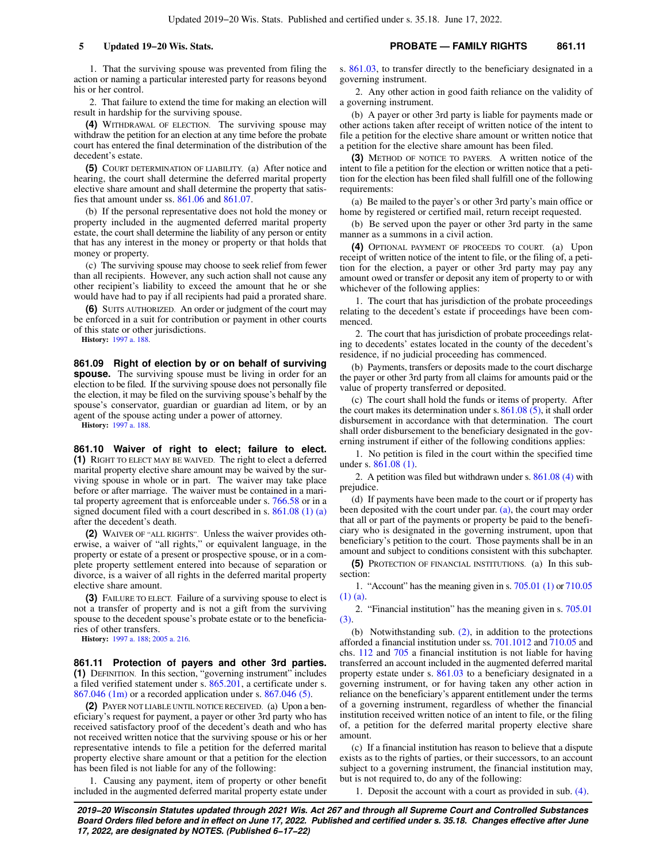1. That the surviving spouse was prevented from filing the action or naming a particular interested party for reasons beyond his or her control.

2. That failure to extend the time for making an election will result in hardship for the surviving spouse.

**(4)** WITHDRAWAL OF ELECTION. The surviving spouse may withdraw the petition for an election at any time before the probate court has entered the final determination of the distribution of the decedent's estate.

**(5)** COURT DETERMINATION OF LIABILITY. (a) After notice and hearing, the court shall determine the deferred marital property elective share amount and shall determine the property that satisfies that amount under ss. [861.06](https://docs.legis.wisconsin.gov/document/statutes/861.06) and [861.07](https://docs.legis.wisconsin.gov/document/statutes/861.07).

(b) If the personal representative does not hold the money or property included in the augmented deferred marital property estate, the court shall determine the liability of any person or entity that has any interest in the money or property or that holds that money or property.

(c) The surviving spouse may choose to seek relief from fewer than all recipients. However, any such action shall not cause any other recipient's liability to exceed the amount that he or she would have had to pay if all recipients had paid a prorated share.

**(6)** SUITS AUTHORIZED. An order or judgment of the court may be enforced in a suit for contribution or payment in other courts of this state or other jurisdictions.

**History:** [1997 a. 188](https://docs.legis.wisconsin.gov/document/acts/1997/188).

**861.09 Right of election by or on behalf of surviving spouse.** The surviving spouse must be living in order for an election to be filed. If the surviving spouse does not personally file the election, it may be filed on the surviving spouse's behalf by the spouse's conservator, guardian or guardian ad litem, or by an agent of the spouse acting under a power of attorney.

**History:** [1997 a. 188](https://docs.legis.wisconsin.gov/document/acts/1997/188).

**861.10 Waiver of right to elect; failure to elect. (1)** RIGHT TO ELECT MAY BE WAIVED. The right to elect a deferred marital property elective share amount may be waived by the surviving spouse in whole or in part. The waiver may take place before or after marriage. The waiver must be contained in a marital property agreement that is enforceable under s. [766.58](https://docs.legis.wisconsin.gov/document/statutes/766.58) or in a signed document filed with a court described in s. [861.08 \(1\) \(a\)](https://docs.legis.wisconsin.gov/document/statutes/861.08(1)(a)) after the decedent's death.

**(2)** WAIVER OF "ALL RIGHTS". Unless the waiver provides otherwise, a waiver of "all rights," or equivalent language, in the property or estate of a present or prospective spouse, or in a complete property settlement entered into because of separation or divorce, is a waiver of all rights in the deferred marital property elective share amount.

**(3)** FAILURE TO ELECT. Failure of a surviving spouse to elect is not a transfer of property and is not a gift from the surviving spouse to the decedent spouse's probate estate or to the beneficiaries of other transfers.

**History:** [1997 a. 188](https://docs.legis.wisconsin.gov/document/acts/1997/188); [2005 a. 216](https://docs.legis.wisconsin.gov/document/acts/2005/216).

**861.11 Protection of payers and other 3rd parties. (1)** DEFINITION. In this section, "governing instrument" includes a filed verified statement under s. [865.201,](https://docs.legis.wisconsin.gov/document/statutes/865.201) a certificate under s. [867.046 \(1m\)](https://docs.legis.wisconsin.gov/document/statutes/867.046(1m)) or a recorded application under s. [867.046 \(5\)](https://docs.legis.wisconsin.gov/document/statutes/867.046(5)).

**(2)** PAYER NOT LIABLE UNTIL NOTICE RECEIVED. (a) Upon a beneficiary's request for payment, a payer or other 3rd party who has received satisfactory proof of the decedent's death and who has not received written notice that the surviving spouse or his or her representative intends to file a petition for the deferred marital property elective share amount or that a petition for the election has been filed is not liable for any of the following:

1. Causing any payment, item of property or other benefit included in the augmented deferred marital property estate under s. [861.03,](https://docs.legis.wisconsin.gov/document/statutes/861.03) to transfer directly to the beneficiary designated in a governing instrument.

2. Any other action in good faith reliance on the validity of a governing instrument.

(b) A payer or other 3rd party is liable for payments made or other actions taken after receipt of written notice of the intent to file a petition for the elective share amount or written notice that a petition for the elective share amount has been filed.

**(3)** METHOD OF NOTICE TO PAYERS. A written notice of the intent to file a petition for the election or written notice that a petition for the election has been filed shall fulfill one of the following requirements:

(a) Be mailed to the payer's or other 3rd party's main office or home by registered or certified mail, return receipt requested.

(b) Be served upon the payer or other 3rd party in the same manner as a summons in a civil action.

**(4)** OPTIONAL PAYMENT OF PROCEEDS TO COURT. (a) Upon receipt of written notice of the intent to file, or the filing of, a petition for the election, a payer or other 3rd party may pay any amount owed or transfer or deposit any item of property to or with whichever of the following applies:

1. The court that has jurisdiction of the probate proceedings relating to the decedent's estate if proceedings have been commenced.

2. The court that has jurisdiction of probate proceedings relating to decedents' estates located in the county of the decedent's residence, if no judicial proceeding has commenced.

(b) Payments, transfers or deposits made to the court discharge the payer or other 3rd party from all claims for amounts paid or the value of property transferred or deposited.

(c) The court shall hold the funds or items of property. After the court makes its determination under s. [861.08 \(5\),](https://docs.legis.wisconsin.gov/document/statutes/861.08(5)) it shall order disbursement in accordance with that determination. The court shall order disbursement to the beneficiary designated in the governing instrument if either of the following conditions applies:

1. No petition is filed in the court within the specified time under s. [861.08 \(1\).](https://docs.legis.wisconsin.gov/document/statutes/861.08(1))

2. A petition was filed but withdrawn under s. [861.08 \(4\)](https://docs.legis.wisconsin.gov/document/statutes/861.08(4)) with prejudice.

(d) If payments have been made to the court or if property has been deposited with the court under par. [\(a\),](https://docs.legis.wisconsin.gov/document/statutes/861.11(4)(a)) the court may order that all or part of the payments or property be paid to the beneficiary who is designated in the governing instrument, upon that beneficiary's petition to the court. Those payments shall be in an amount and subject to conditions consistent with this subchapter.

**(5)** PROTECTION OF FINANCIAL INSTITUTIONS. (a) In this subsection:

1. "Account" has the meaning given in s. [705.01 \(1\)](https://docs.legis.wisconsin.gov/document/statutes/705.01(1)) or [710.05](https://docs.legis.wisconsin.gov/document/statutes/710.05(1)(a)) [\(1\) \(a\).](https://docs.legis.wisconsin.gov/document/statutes/710.05(1)(a))

2. "Financial institution" has the meaning given in s. [705.01](https://docs.legis.wisconsin.gov/document/statutes/705.01(3)) [\(3\).](https://docs.legis.wisconsin.gov/document/statutes/705.01(3))

(b) Notwithstanding sub. [\(2\)](https://docs.legis.wisconsin.gov/document/statutes/861.11(2)), in addition to the protections afforded a financial institution under ss. [701.1012](https://docs.legis.wisconsin.gov/document/statutes/701.1012) and [710.05](https://docs.legis.wisconsin.gov/document/statutes/710.05) and chs. [112](https://docs.legis.wisconsin.gov/document/statutes/ch.%20112) and [705](https://docs.legis.wisconsin.gov/document/statutes/ch.%20705) a financial institution is not liable for having transferred an account included in the augmented deferred marital property estate under s. [861.03](https://docs.legis.wisconsin.gov/document/statutes/861.03) to a beneficiary designated in a governing instrument, or for having taken any other action in reliance on the beneficiary's apparent entitlement under the terms of a governing instrument, regardless of whether the financial institution received written notice of an intent to file, or the filing of, a petition for the deferred marital property elective share amount.

(c) If a financial institution has reason to believe that a dispute exists as to the rights of parties, or their successors, to an account subject to a governing instrument, the financial institution may, but is not required to, do any of the following:

1. Deposit the account with a court as provided in sub. [\(4\).](https://docs.legis.wisconsin.gov/document/statutes/861.11(4))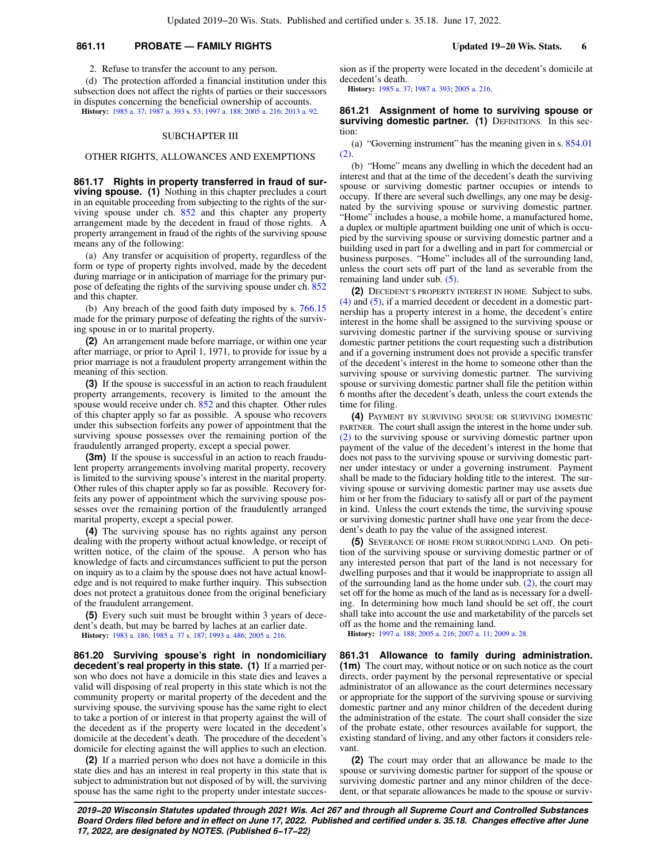## **861.11 PROBATE — FAMILY RIGHTS Updated 19−20 Wis. Stats. 6**

2. Refuse to transfer the account to any person.

(d) The protection afforded a financial institution under this subsection does not affect the rights of parties or their successors in disputes concerning the beneficial ownership of accounts.

**History:** [1985 a. 37;](https://docs.legis.wisconsin.gov/document/acts/1985/37) [1987 a. 393](https://docs.legis.wisconsin.gov/document/acts/1987/393) s. [53;](https://docs.legis.wisconsin.gov/document/acts/1987/393,%20s.%2053) [1997 a. 188](https://docs.legis.wisconsin.gov/document/acts/1997/188); [2005 a. 216;](https://docs.legis.wisconsin.gov/document/acts/2005/216) [2013 a. 92](https://docs.legis.wisconsin.gov/document/acts/2013/92).

### SUBCHAPTER III

#### OTHER RIGHTS, ALLOWANCES AND EXEMPTIONS

**861.17 Rights in property transferred in fraud of surviving spouse.** (1) Nothing in this chapter precludes a court in an equitable proceeding from subjecting to the rights of the sur-viving spouse under ch. [852](https://docs.legis.wisconsin.gov/document/statutes/ch.%20852) and this chapter any property arrangement made by the decedent in fraud of those rights. A property arrangement in fraud of the rights of the surviving spouse means any of the following:

(a) Any transfer or acquisition of property, regardless of the form or type of property rights involved, made by the decedent during marriage or in anticipation of marriage for the primary purpose of defeating the rights of the surviving spouse under ch. [852](https://docs.legis.wisconsin.gov/document/statutes/ch.%20852) and this chapter.

(b) Any breach of the good faith duty imposed by s. [766.15](https://docs.legis.wisconsin.gov/document/statutes/766.15) made for the primary purpose of defeating the rights of the surviving spouse in or to marital property.

**(2)** An arrangement made before marriage, or within one year after marriage, or prior to April 1, 1971, to provide for issue by a prior marriage is not a fraudulent property arrangement within the meaning of this section.

**(3)** If the spouse is successful in an action to reach fraudulent property arrangements, recovery is limited to the amount the spouse would receive under ch. [852](https://docs.legis.wisconsin.gov/document/statutes/ch.%20852) and this chapter. Other rules of this chapter apply so far as possible. A spouse who recovers under this subsection forfeits any power of appointment that the surviving spouse possesses over the remaining portion of the fraudulently arranged property, except a special power.

**(3m)** If the spouse is successful in an action to reach fraudulent property arrangements involving marital property, recovery is limited to the surviving spouse's interest in the marital property. Other rules of this chapter apply so far as possible. Recovery forfeits any power of appointment which the surviving spouse possesses over the remaining portion of the fraudulently arranged marital property, except a special power.

**(4)** The surviving spouse has no rights against any person dealing with the property without actual knowledge, or receipt of written notice, of the claim of the spouse. A person who has knowledge of facts and circumstances sufficient to put the person on inquiry as to a claim by the spouse does not have actual knowledge and is not required to make further inquiry. This subsection does not protect a gratuitous donee from the original beneficiary of the fraudulent arrangement.

**(5)** Every such suit must be brought within 3 years of decedent's death, but may be barred by laches at an earlier date. **History:** [1983 a. 186](https://docs.legis.wisconsin.gov/document/acts/1983/186); [1985 a. 37](https://docs.legis.wisconsin.gov/document/acts/1985/37) s. [187](https://docs.legis.wisconsin.gov/document/acts/1985/37,%20s.%20187); [1993 a. 486;](https://docs.legis.wisconsin.gov/document/acts/1993/486) [2005 a. 216](https://docs.legis.wisconsin.gov/document/acts/2005/216).

**861.20 Surviving spouse's right in nondomiciliary decedent's real property in this state. (1)** If a married person who does not have a domicile in this state dies and leaves a valid will disposing of real property in this state which is not the community property or marital property of the decedent and the surviving spouse, the surviving spouse has the same right to elect to take a portion of or interest in that property against the will of the decedent as if the property were located in the decedent's domicile at the decedent's death. The procedure of the decedent's domicile for electing against the will applies to such an election.

**(2)** If a married person who does not have a domicile in this state dies and has an interest in real property in this state that is subject to administration but not disposed of by will, the surviving spouse has the same right to the property under intestate succes-

sion as if the property were located in the decedent's domicile at decedent's death.

**History:** [1985 a. 37](https://docs.legis.wisconsin.gov/document/acts/1985/37); [1987 a. 393;](https://docs.legis.wisconsin.gov/document/acts/1987/393) [2005 a. 216](https://docs.legis.wisconsin.gov/document/acts/2005/216).

### **861.21 Assignment of home to surviving spouse or** surviving domestic partner. (1) DEFINITIONS. In this section:

(a) "Governing instrument" has the meaning given in s. [854.01](https://docs.legis.wisconsin.gov/document/statutes/854.01(2)) [\(2\).](https://docs.legis.wisconsin.gov/document/statutes/854.01(2))

(b) "Home" means any dwelling in which the decedent had an interest and that at the time of the decedent's death the surviving spouse or surviving domestic partner occupies or intends to occupy. If there are several such dwellings, any one may be designated by the surviving spouse or surviving domestic partner. "Home" includes a house, a mobile home, a manufactured home, a duplex or multiple apartment building one unit of which is occupied by the surviving spouse or surviving domestic partner and a building used in part for a dwelling and in part for commercial or business purposes. "Home" includes all of the surrounding land, unless the court sets off part of the land as severable from the remaining land under sub. [\(5\)](https://docs.legis.wisconsin.gov/document/statutes/861.21(5)).

**(2)** DECEDENT'S PROPERTY INTEREST IN HOME. Subject to subs. [\(4\)](https://docs.legis.wisconsin.gov/document/statutes/861.21(4)) and [\(5\)](https://docs.legis.wisconsin.gov/document/statutes/861.21(5)), if a married decedent or decedent in a domestic partnership has a property interest in a home, the decedent's entire interest in the home shall be assigned to the surviving spouse or surviving domestic partner if the surviving spouse or surviving domestic partner petitions the court requesting such a distribution and if a governing instrument does not provide a specific transfer of the decedent's interest in the home to someone other than the surviving spouse or surviving domestic partner. The surviving spouse or surviving domestic partner shall file the petition within 6 months after the decedent's death, unless the court extends the time for filing.

**(4)** PAYMENT BY SURVIVING SPOUSE OR SURVIVING DOMESTIC PARTNER. The court shall assign the interest in the home under sub. [\(2\)](https://docs.legis.wisconsin.gov/document/statutes/861.21(2)) to the surviving spouse or surviving domestic partner upon payment of the value of the decedent's interest in the home that does not pass to the surviving spouse or surviving domestic partner under intestacy or under a governing instrument. Payment shall be made to the fiduciary holding title to the interest. The surviving spouse or surviving domestic partner may use assets due him or her from the fiduciary to satisfy all or part of the payment in kind. Unless the court extends the time, the surviving spouse or surviving domestic partner shall have one year from the decedent's death to pay the value of the assigned interest.

**(5)** SEVERANCE OF HOME FROM SURROUNDING LAND. On petition of the surviving spouse or surviving domestic partner or of any interested person that part of the land is not necessary for dwelling purposes and that it would be inappropriate to assign all of the surrounding land as the home under sub. [\(2\)](https://docs.legis.wisconsin.gov/document/statutes/861.21(2)), the court may set off for the home as much of the land as is necessary for a dwelling. In determining how much land should be set off, the court shall take into account the use and marketability of the parcels set off as the home and the remaining land.

**History:** [1997 a. 188;](https://docs.legis.wisconsin.gov/document/acts/1997/188) [2005 a. 216](https://docs.legis.wisconsin.gov/document/acts/2005/216); [2007 a. 11](https://docs.legis.wisconsin.gov/document/acts/2007/11); [2009 a. 28](https://docs.legis.wisconsin.gov/document/acts/2009/28).

**861.31 Allowance to family during administration. (1m)** The court may, without notice or on such notice as the court directs, order payment by the personal representative or special administrator of an allowance as the court determines necessary or appropriate for the support of the surviving spouse or surviving domestic partner and any minor children of the decedent during the administration of the estate. The court shall consider the size of the probate estate, other resources available for support, the existing standard of living, and any other factors it considers relevant.

**(2)** The court may order that an allowance be made to the spouse or surviving domestic partner for support of the spouse or surviving domestic partner and any minor children of the decedent, or that separate allowances be made to the spouse or surviv-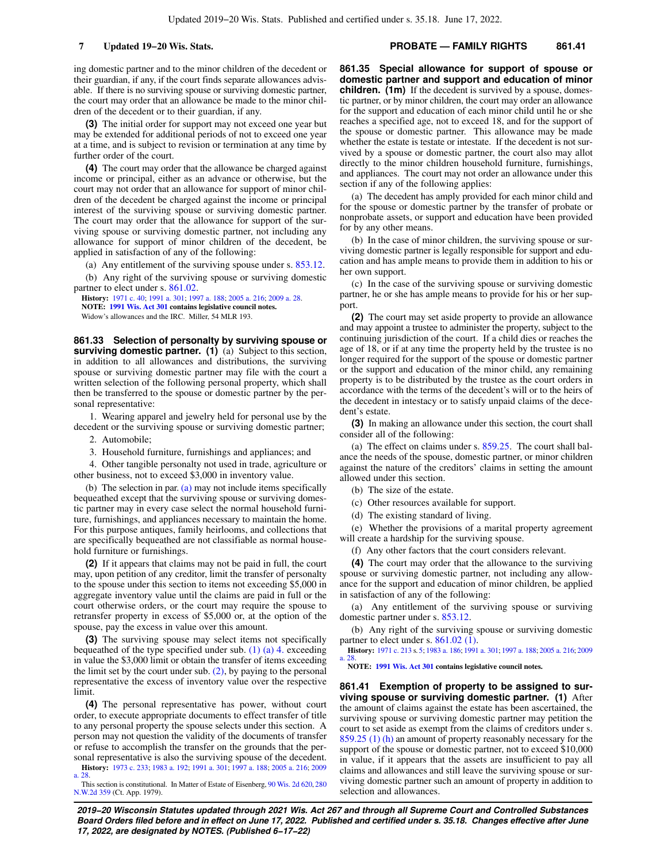## **7 Updated 19−20 Wis. Stats. PROBATE — FAMILY RIGHTS 861.41**

ing domestic partner and to the minor children of the decedent or their guardian, if any, if the court finds separate allowances advisable. If there is no surviving spouse or surviving domestic partner, the court may order that an allowance be made to the minor children of the decedent or to their guardian, if any.

**(3)** The initial order for support may not exceed one year but may be extended for additional periods of not to exceed one year at a time, and is subject to revision or termination at any time by further order of the court.

**(4)** The court may order that the allowance be charged against income or principal, either as an advance or otherwise, but the court may not order that an allowance for support of minor children of the decedent be charged against the income or principal interest of the surviving spouse or surviving domestic partner. The court may order that the allowance for support of the surviving spouse or surviving domestic partner, not including any allowance for support of minor children of the decedent, be applied in satisfaction of any of the following:

(a) Any entitlement of the surviving spouse under s. [853.12](https://docs.legis.wisconsin.gov/document/statutes/853.12).

(b) Any right of the surviving spouse or surviving domestic partner to elect under s. [861.02](https://docs.legis.wisconsin.gov/document/statutes/861.02).

**History:** [1971 c. 40;](https://docs.legis.wisconsin.gov/document/acts/1971/40) [1991 a. 301;](https://docs.legis.wisconsin.gov/document/acts/1991/301) [1997 a. 188](https://docs.legis.wisconsin.gov/document/acts/1997/188); [2005 a. 216;](https://docs.legis.wisconsin.gov/document/acts/2005/216) [2009 a. 28](https://docs.legis.wisconsin.gov/document/acts/2009/28). **NOTE: [1991 Wis. Act 301](https://docs.legis.wisconsin.gov/document/acts/1991/301) contains legislative council notes.** Widow's allowances and the IRC. Miller, 54 MLR 193.

**861.33 Selection of personalty by surviving spouse or surviving domestic partner. (1)** (a) Subject to this section, in addition to all allowances and distributions, the surviving spouse or surviving domestic partner may file with the court a written selection of the following personal property, which shall then be transferred to the spouse or domestic partner by the personal representative:

1. Wearing apparel and jewelry held for personal use by the decedent or the surviving spouse or surviving domestic partner;

2. Automobile;

3. Household furniture, furnishings and appliances; and

4. Other tangible personalty not used in trade, agriculture or other business, not to exceed \$3,000 in inventory value.

(b) The selection in par. [\(a\)](https://docs.legis.wisconsin.gov/document/statutes/861.33(1)(a)) may not include items specifically bequeathed except that the surviving spouse or surviving domestic partner may in every case select the normal household furniture, furnishings, and appliances necessary to maintain the home. For this purpose antiques, family heirlooms, and collections that are specifically bequeathed are not classifiable as normal household furniture or furnishings.

**(2)** If it appears that claims may not be paid in full, the court may, upon petition of any creditor, limit the transfer of personalty to the spouse under this section to items not exceeding \$5,000 in aggregate inventory value until the claims are paid in full or the court otherwise orders, or the court may require the spouse to retransfer property in excess of \$5,000 or, at the option of the spouse, pay the excess in value over this amount.

**(3)** The surviving spouse may select items not specifically bequeathed of the type specified under sub. [\(1\) \(a\) 4.](https://docs.legis.wisconsin.gov/document/statutes/861.33(1)(a)4.) exceeding in value the \$3,000 limit or obtain the transfer of items exceeding the limit set by the court under sub.  $(2)$ , by paying to the personal representative the excess of inventory value over the respective limit.

**(4)** The personal representative has power, without court order, to execute appropriate documents to effect transfer of title to any personal property the spouse selects under this section. A person may not question the validity of the documents of transfer or refuse to accomplish the transfer on the grounds that the personal representative is also the surviving spouse of the decedent.

**History:** [1973 c. 233](https://docs.legis.wisconsin.gov/document/acts/1973/233); [1983 a. 192;](https://docs.legis.wisconsin.gov/document/acts/1983/192) [1991 a. 301](https://docs.legis.wisconsin.gov/document/acts/1991/301); [1997 a. 188;](https://docs.legis.wisconsin.gov/document/acts/1997/188) [2005 a. 216](https://docs.legis.wisconsin.gov/document/acts/2005/216); [2009](https://docs.legis.wisconsin.gov/document/acts/2009/28) [a. 28](https://docs.legis.wisconsin.gov/document/acts/2009/28).

This section is constitutional. In Matter of Estate of Eisenberg, [90 Wis. 2d 620,](https://docs.legis.wisconsin.gov/document/courts/90%20Wis.%202d%20620) [280](https://docs.legis.wisconsin.gov/document/courts/280%20N.W.2d%20359) [N.W.2d 359](https://docs.legis.wisconsin.gov/document/courts/280%20N.W.2d%20359) (Ct. App. 1979).

**861.35 Special allowance for support of spouse or domestic partner and support and education of minor children. (1m)** If the decedent is survived by a spouse, domestic partner, or by minor children, the court may order an allowance for the support and education of each minor child until he or she reaches a specified age, not to exceed 18, and for the support of the spouse or domestic partner. This allowance may be made whether the estate is testate or intestate. If the decedent is not survived by a spouse or domestic partner, the court also may allot directly to the minor children household furniture, furnishings, and appliances. The court may not order an allowance under this section if any of the following applies:

(a) The decedent has amply provided for each minor child and for the spouse or domestic partner by the transfer of probate or nonprobate assets, or support and education have been provided for by any other means.

(b) In the case of minor children, the surviving spouse or surviving domestic partner is legally responsible for support and education and has ample means to provide them in addition to his or her own support.

(c) In the case of the surviving spouse or surviving domestic partner, he or she has ample means to provide for his or her support.

**(2)** The court may set aside property to provide an allowance and may appoint a trustee to administer the property, subject to the continuing jurisdiction of the court. If a child dies or reaches the age of 18, or if at any time the property held by the trustee is no longer required for the support of the spouse or domestic partner or the support and education of the minor child, any remaining property is to be distributed by the trustee as the court orders in accordance with the terms of the decedent's will or to the heirs of the decedent in intestacy or to satisfy unpaid claims of the decedent's estate.

**(3)** In making an allowance under this section, the court shall consider all of the following:

(a) The effect on claims under s. [859.25.](https://docs.legis.wisconsin.gov/document/statutes/859.25) The court shall balance the needs of the spouse, domestic partner, or minor children against the nature of the creditors' claims in setting the amount allowed under this section.

(b) The size of the estate.

(c) Other resources available for support.

(d) The existing standard of living.

(e) Whether the provisions of a marital property agreement will create a hardship for the surviving spouse.

(f) Any other factors that the court considers relevant.

**(4)** The court may order that the allowance to the surviving spouse or surviving domestic partner, not including any allowance for the support and education of minor children, be applied in satisfaction of any of the following:

(a) Any entitlement of the surviving spouse or surviving domestic partner under s. [853.12.](https://docs.legis.wisconsin.gov/document/statutes/853.12)

(b) Any right of the surviving spouse or surviving domestic partner to elect under s. [861.02 \(1\)](https://docs.legis.wisconsin.gov/document/statutes/861.02(1)).

**History:** [1971 c. 213](https://docs.legis.wisconsin.gov/document/acts/1971/213) s. [5](https://docs.legis.wisconsin.gov/document/acts/1971/213,%20s.%205); [1983 a. 186;](https://docs.legis.wisconsin.gov/document/acts/1983/186) [1991 a. 301;](https://docs.legis.wisconsin.gov/document/acts/1991/301) [1997 a. 188](https://docs.legis.wisconsin.gov/document/acts/1997/188); [2005 a. 216](https://docs.legis.wisconsin.gov/document/acts/2005/216); [2009](https://docs.legis.wisconsin.gov/document/acts/2009/28) [a. 28.](https://docs.legis.wisconsin.gov/document/acts/2009/28)

**NOTE: [1991 Wis. Act 301](https://docs.legis.wisconsin.gov/document/acts/1991/301) contains legislative council notes.**

**861.41 Exemption of property to be assigned to surviving spouse or surviving domestic partner. (1)** After the amount of claims against the estate has been ascertained, the surviving spouse or surviving domestic partner may petition the court to set aside as exempt from the claims of creditors under s. [859.25 \(1\) \(h\)](https://docs.legis.wisconsin.gov/document/statutes/859.25(1)(h)) an amount of property reasonably necessary for the support of the spouse or domestic partner, not to exceed \$10,000 in value, if it appears that the assets are insufficient to pay all claims and allowances and still leave the surviving spouse or surviving domestic partner such an amount of property in addition to selection and allowances.